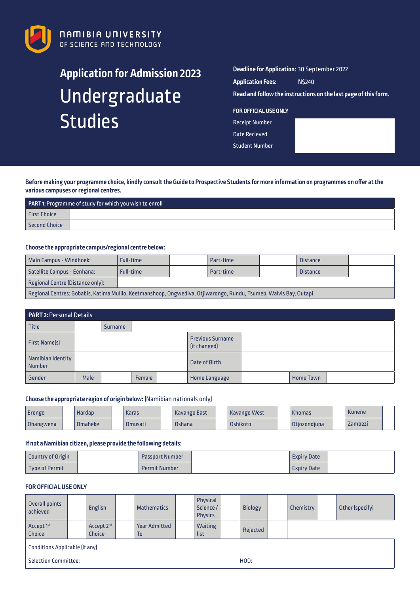

# **Application for Admission 2023** Undergraduate Studies

## **Deadline for Application:** 30 September 2022

| <b>Application Fees:</b> | N\$240 |
|--------------------------|--------|
|--------------------------|--------|

**Read and follow the instructions on the last page of this form.**

#### **FOR OFFICIAL USE ONLY**

|  | <b>Receipt Number</b> |  |
|--|-----------------------|--|
|  | <b>Date Recieved</b>  |  |

Student Number

**Before making your programme choice, kindly consult the Guide to Prospective Students for more information on programmes on offer at the various campuses or regional centres.**

| <b>PART 1:</b> Programme of study for which you wish to enroll |  |  |  |  |  |  |  |
|----------------------------------------------------------------|--|--|--|--|--|--|--|
| <b>First Choice</b>                                            |  |  |  |  |  |  |  |
| Second Choice                                                  |  |  |  |  |  |  |  |

#### **Choose the appropriate campus/regional centre below:**

| <b>Main Campus - Windhoek:</b>                                                                                    | Full-time |  | Part-time |  | <b>Distance</b> |  |  |  |
|-------------------------------------------------------------------------------------------------------------------|-----------|--|-----------|--|-----------------|--|--|--|
| Satellite Campus - Eenhana:                                                                                       | Full-time |  | Part-time |  | <b>Distance</b> |  |  |  |
| Regional Centre (Distance only):                                                                                  |           |  |           |  |                 |  |  |  |
| Regional Centres: Gobabis, Katima Mulilo, Keetmanshoop, Ongwediva, Otjiwarongo, Rundu, Tsumeb, Walvis Bay, Outapi |           |  |           |  |                 |  |  |  |

|                                    | <b>PART 2: Personal Details</b> |                |               |  |                                         |  |                  |  |  |  |  |
|------------------------------------|---------------------------------|----------------|---------------|--|-----------------------------------------|--|------------------|--|--|--|--|
| Title                              |                                 | <b>Surname</b> |               |  |                                         |  |                  |  |  |  |  |
| <b>First Name(s)</b>               |                                 |                |               |  | <b>Previous Surname</b><br>[if changed] |  |                  |  |  |  |  |
| Namibian Identity<br><b>Number</b> |                                 |                |               |  | Date of Birth                           |  |                  |  |  |  |  |
| Gender                             | <b>Male</b>                     |                | <b>Female</b> |  | <b>Home Language</b>                    |  | <b>Home Town</b> |  |  |  |  |

# **Choose the appropriate region of origin below:** (Namibian nationals only)

| <b>Erongo</b>    | <b>Hardap</b> | <b>Karas</b> | Kavango East | Kavango West | <b>Khomas</b> | Kunene  |  |
|------------------|---------------|--------------|--------------|--------------|---------------|---------|--|
| <b>Ohangwena</b> | l Omaheke     | Omusati      | Oshana       | Oshikoto     | Otjozondjupa  | Zambezi |  |

### **If not a Namibian citizen, please provide the following details:**

| Country of Origin | <b>Passport Number</b> | <b>Expiry Date</b> |  |
|-------------------|------------------------|--------------------|--|
| Type of Permit    | <b>Permit Number</b>   | <b>Expiry Date</b> |  |

# **FOR OFFICIAL USE ONLY**

| Overall points<br>achieved     |  | <b>English</b>                          |  | <b>Mathematics</b>                     |  | Physical<br>Science /<br><b>Physics</b> |  | <b>Biology</b> |  | Chemistry | Other (specify) |
|--------------------------------|--|-----------------------------------------|--|----------------------------------------|--|-----------------------------------------|--|----------------|--|-----------|-----------------|
| Accept 1st<br><b>Choice</b>    |  | Accept 2 <sup>nd</sup><br><b>Choice</b> |  | <b>Year Admitted</b><br>T <sub>0</sub> |  | <b>Waiting</b><br>list                  |  | Rejected       |  |           |                 |
| Conditions Applicable (if any) |  |                                         |  |                                        |  |                                         |  |                |  |           |                 |

Selection Committee: No. 2008 Selection Committee: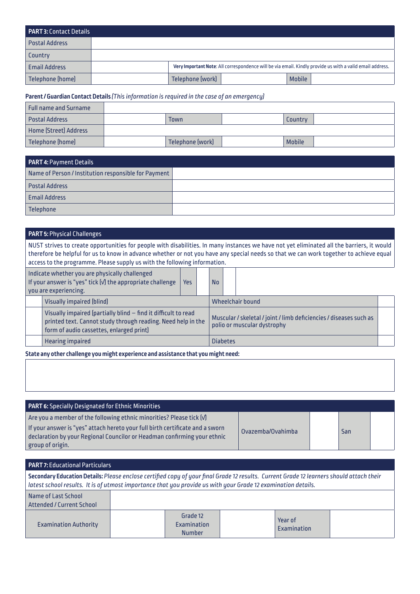| <b>PART 3: Contact Details</b> |                                                                                                          |  |               |  |  |  |  |
|--------------------------------|----------------------------------------------------------------------------------------------------------|--|---------------|--|--|--|--|
| <b>Postal Address</b>          |                                                                                                          |  |               |  |  |  |  |
| Country                        |                                                                                                          |  |               |  |  |  |  |
| <b>Email Address</b>           | Very Important Note: All correspondence will be via email. Kindly provide us with a valid email address. |  |               |  |  |  |  |
| Telephone (home)               | Telephone [work]                                                                                         |  | <b>Mobile</b> |  |  |  |  |

## **Parent / Guardian Contact Details** *(This information is required in the case of an emergency)*

| <b>Full name and Surname</b> |                  |               |  |
|------------------------------|------------------|---------------|--|
| <b>Postal Address</b>        | Town             | Country       |  |
| Home (Street) Address        |                  |               |  |
| Telephone (home)             | Telephone (work) | <b>Mobile</b> |  |

| <b>PART 4: Payment Details</b>                       |  |  |  |  |  |
|------------------------------------------------------|--|--|--|--|--|
| Name of Person / Institution responsible for Payment |  |  |  |  |  |
| <b>Postal Address</b>                                |  |  |  |  |  |
| <b>Email Address</b>                                 |  |  |  |  |  |
| <b>Telephone</b>                                     |  |  |  |  |  |

#### **PART 5:** Physical Challenges NUST strives to create opportunities for people with disabilities. In many instances we have not yet eliminated all the barriers, it would therefore be helpful for us to know in advance whether or not you have any special needs so that we can work together to achieve equal access to the programme. Please supply us with the following information. Indicate whether you are physically challenged If your answer is "yes" tick (√) the appropriate challenge you are experiencing. Yes No Visually impaired (blind) Wheelchair bound Visually impaired (partially blind – find it difficult to read printed text. Cannot study through reading. Need help in the form of audio cassettes, enlarged print) Muscular / skeletal / joint / limb deficiencies / diseases such as polio or muscular dystrophy

**State any other challenge you might experience and assistance that you might need:**

Hearing impaired **Diabetes Diabetes** 

| <b>PART 6:</b> Specially Designated for Ethnic Minorities                                                                                                                                                                                                 |                   |                                                 |  |     |                        |  |  |  |  |  |
|-----------------------------------------------------------------------------------------------------------------------------------------------------------------------------------------------------------------------------------------------------------|-------------------|-------------------------------------------------|--|-----|------------------------|--|--|--|--|--|
| Are you a member of the following ethnic minorities? Please tick $[V]$<br>If your answer is "yes" attach hereto your full birth certificate and a sworn<br>declaration by your Regional Councilor or Headman confirming your ethnic<br>group of origin.   | Ovazemba/Ovahimba |                                                 |  | San |                        |  |  |  |  |  |
|                                                                                                                                                                                                                                                           |                   |                                                 |  |     |                        |  |  |  |  |  |
| <b>PART 7: Educational Particulars</b>                                                                                                                                                                                                                    |                   |                                                 |  |     |                        |  |  |  |  |  |
| Secondary Education Details: Please enclose certified copy of your final Grade 12 results. Current Grade 12 learners should attach their<br>latest school results. It is of utmost importance that you provide us with your Grade 12 examination details. |                   |                                                 |  |     |                        |  |  |  |  |  |
| Name of Last School<br><b>Attended / Current School</b>                                                                                                                                                                                                   |                   |                                                 |  |     |                        |  |  |  |  |  |
| <b>Examination Authority</b>                                                                                                                                                                                                                              |                   | Grade 12<br><b>Examination</b><br><b>Number</b> |  |     | Year of<br>Examination |  |  |  |  |  |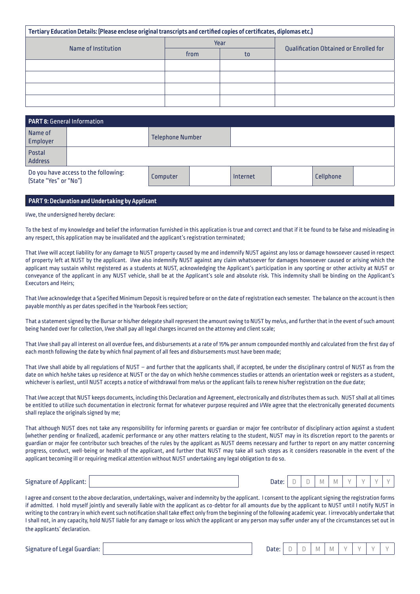| Tertiary Education Details: (Please enclose original transcripts and certified copies of certificates, diplomas etc.) |      |      |                                               |  |  |  |  |
|-----------------------------------------------------------------------------------------------------------------------|------|------|-----------------------------------------------|--|--|--|--|
| Name of Institution                                                                                                   |      | Year |                                               |  |  |  |  |
|                                                                                                                       | from | to   | <b>Qualification Obtained or Enrolled for</b> |  |  |  |  |
|                                                                                                                       |      |      |                                               |  |  |  |  |
|                                                                                                                       |      |      |                                               |  |  |  |  |
|                                                                                                                       |      |      |                                               |  |  |  |  |
|                                                                                                                       |      |      |                                               |  |  |  |  |

| <b>PART 8: General Information</b>                            |  |                         |  |          |  |           |  |
|---------------------------------------------------------------|--|-------------------------|--|----------|--|-----------|--|
| Name of<br><b>Employer</b>                                    |  | <b>Telephone Number</b> |  |          |  |           |  |
| Postal<br>Address                                             |  |                         |  |          |  |           |  |
| Do you have access to the following:<br>[State "Yes" or "No"] |  | Computer                |  | Internet |  | Cellphone |  |

#### **PART 9: Declaration and Undertaking by Applicant**

I/we, the undersigned hereby declare:

To the best of my knowledge and belief the information furnished in this application is true and correct and that if it be found to be false and misleading in any respect, this application may be invalidated and the applicant's registration terminated;

That I/we will accept liability for any damage to NUST property caused by me and indemnify NUST against any loss or damage howsoever caused in respect of property left at NUST by the applicant. I/we also indemnify NUST against any claim whatsoever for damages howsoever caused or arising which the applicant may sustain whilst registered as a students at NUST, acknowledging the Applicant's participation in any sporting or other activity at NUST or conveyance of the applicant in any NUST vehicle, shall be at the Applicant's sole and absolute risk. This indemnity shall be binding on the Applicant's Executors and Heirs;

That I/we acknowledge that a Specified Minimum Deposit is required before or on the date of registration each semester. The balance on the account is then payable monthly as per dates specified in the Yearbook Fees section;

That a statement signed by the Bursar or his/her delegate shall represent the amount owing to NUST by me/us, and further that in the event of such amount being handed over for collection, I/we shall pay all legal charges incurred on the attorney and client scale;

That I/we shall pay all interest on all overdue fees, and disbursements at a rate of 15% per annum compounded monthly and calculated from the first day of each month following the date by which final payment of all fees and disbursements must have been made;

That I/we shall abide by all regulations of NUST – and further that the applicants shall, if accepted, be under the disciplinary control of NUST as from the date on which he/she takes up residence at NUST or the day on which he/she commences studies or attends an orientation week or registers as a student, whichever is earliest, until NUST accepts a notice of withdrawal from me/us or the applicant fails to renew his/her registration on the due date;

That I/we accept that NUST keeps documents, including this Declaration and Agreement, electronically and distributes them as such. NUST shall at all times be entitled to utilize such documentation in electronic format for whatever purpose required and I/We agree that the electronically generated documents shall replace the originals signed by me;

That although NUST does not take any responsibility for informing parents or guardian or major fee contributor of disciplinary action against a student (whether pending or finalized), academic performance or any other matters relating to the student, NUST may in its discretion report to the parents or guardian or major fee contributor such breaches of the rules by the applicant as NUST deems necessary and further to report on any matter concerning progress, conduct, well-being or health of the applicant, and further that NUST may take all such steps as it considers reasonable in the event of the applicant becoming ill or requiring medical attention without NUST undertaking any legal obligation to do so.

Signature of Applicant:  $\begin{array}{ccc} \vert & \vert & \vert & \vert & \vert \end{array}$ 

| ate: |  |  |  | v |  |  |  |  |
|------|--|--|--|---|--|--|--|--|
|------|--|--|--|---|--|--|--|--|

I agree and consent to the above declaration, undertakings, waiver and indemnity by the applicant. I consent to the applicant signing the registration forms if admitted. I hold myself jointly and severally liable with the applicant as co-debtor for all amounts due by the applicant to NUST until I notify NUST in writing to the contrary in which event such notification shall take effect only from the beginning of the following academic year. I irrevocably undertake that I shall not, in any capacity, hold NUST liable for any damage or loss which the applicant or any person may suffer under any of the circumstances set out in the applicants' declaration.

Signature of Legal Guardian:  $\begin{bmatrix} \Box \ \Box \ \Box \ \end{bmatrix}$  D  $\begin{bmatrix} \Box \ \Box \ \end{bmatrix}$  M  $\begin{bmatrix} \Box \ \Box \ \end{bmatrix}$  M  $\begin{bmatrix} \Box \ \Box \ \end{bmatrix}$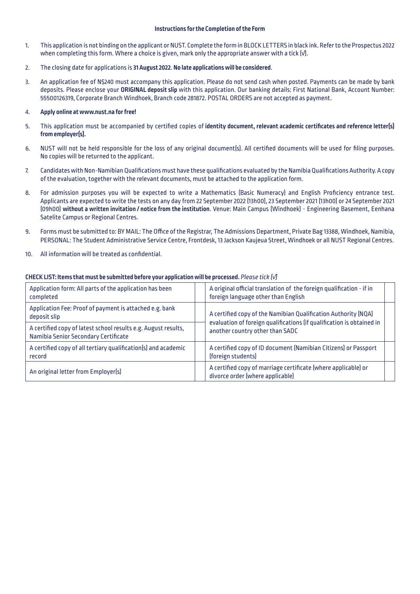#### **Instructions for the Completion of the Form**

- 1. This application is not binding on the applicant or NUST. Complete the form in BLOCK LETTERS in black ink. Refer to the Prospectus 2022 when completing this form. Where a choice is given, mark only the appropriate answer with a tick (√).
- 2. The closing date for applications is **31 August 2022**. **No late applications will be considered**.
- 3. An application fee of N\$240 must accompany this application. Please do not send cash when posted. Payments can be made by bank deposits. Please enclose your **ORIGINAL deposit slip** with this application. Our banking details: First National Bank, Account Number: 55500126319, Corporate Branch Windhoek, Branch code 281872. POSTAL ORDERS are not accepted as payment.

# 4. **Apply online at www.nust.na for free!**

- 5. This application must be accompanied by certified copies of **identity document, relevant academic certificates and reference letter(s) from employer(s).**
- 6. NUST will not be held responsible for the loss of any original document(s). All certified documents will be used for filing purposes. No copies will be returned to the applicant.
- 7. Candidates with Non-Namibian Qualifications must have these qualifications evaluated by the Namibia Qualifications Authority. A copy of the evaluation, together with the relevant documents, must be attached to the application form.
- 8. For admission purposes you will be expected to write a Mathematics (Basic Numeracy) and English Proficiency entrance test. Applicants are expected to write the tests on any day from 22 September 2022 (13h00), 23 September 2021 (13h00) or 24 September 2021 (09h00) **without a written invitation / notice from the institution**. Venue: Main Campus (Windhoek) - Engineering Basement, Eenhana Satelite Campus or Regional Centres.
- 9. Forms must be submitted to: BY MAIL: The Office of the Registrar, The Admissions Department, Private Bag 13388, Windhoek, Namibia, PERSONAL: The Student Administrative Service Centre, Frontdesk, 13 Jackson Kaujeua Street, Windhoek or all NUST Regional Centres.
- 10. All information will be treated as confidential.

| Application form: All parts of the application has been<br>completed                                   |                                                                | A original official translation of the foreign qualification - if in<br>foreign language other than English |  |
|--------------------------------------------------------------------------------------------------------|----------------------------------------------------------------|-------------------------------------------------------------------------------------------------------------|--|
| Application Fee: Proof of payment is attached e.g. bank<br>deposit slip                                | A certified copy of the Namibian Qualification Authority (NQA) |                                                                                                             |  |
| A certified copy of latest school results e.g. August results,<br>Namibia Senior Secondary Certificate |                                                                | evaluation of foreign qualifications (if qualification is obtained in<br>another country other than SADC    |  |
| A certified copy of all tertiary qualification(s) and academic<br>record                               |                                                                | A certified copy of ID document (Namibian Citizens) or Passport<br>[foreign students]                       |  |
| An original letter from Employer(s)                                                                    |                                                                | A certified copy of marriage certificate (where applicable) or<br>divorce order (where applicable)          |  |

## **CHECK LIST: Items that must be submitted before your application will be processed.** *Please tick (√)*